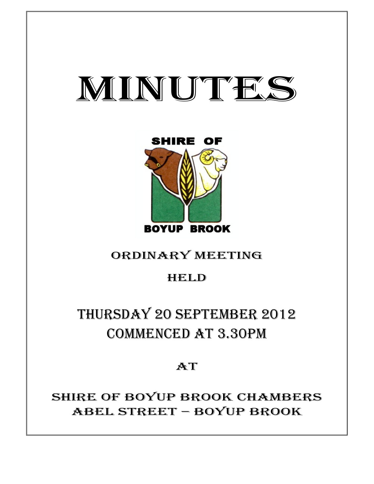# MINUTES



# ORDINARY MEETING

### **HELD**

# THURSDAY 20 SEPTEMBER 2012 COMMENCED AT 3.30PM

## AT

SHIRE OF BOYUP BROOK CHAMBERS ABEL STREET – BOYUP BROOK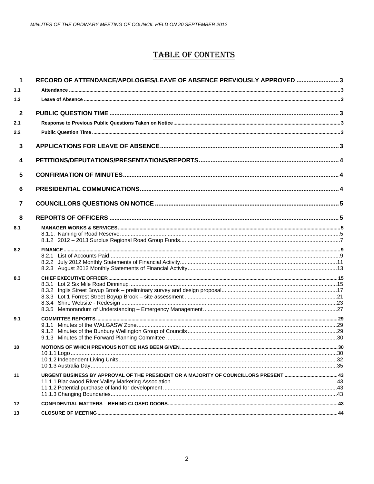### **TABLE OF CONTENTS**

| $\blacktriangleleft$ | RECORD OF ATTENDANCE/APOLOGIES/LEAVE OF ABSENCE PREVIOUSLY APPROVED 3 |  |
|----------------------|-----------------------------------------------------------------------|--|
| 1.1                  |                                                                       |  |
| 1.3                  |                                                                       |  |
| $\mathbf{2}$         |                                                                       |  |
| 2.1                  |                                                                       |  |
| 2.2                  |                                                                       |  |
| 3                    |                                                                       |  |
| 4                    |                                                                       |  |
| 5                    |                                                                       |  |
| 6                    |                                                                       |  |
| $\overline{7}$       |                                                                       |  |
| 8                    |                                                                       |  |
| 8.1                  |                                                                       |  |
|                      |                                                                       |  |
| 8.2                  |                                                                       |  |
|                      |                                                                       |  |
|                      |                                                                       |  |
| 8.3                  |                                                                       |  |
|                      |                                                                       |  |
|                      |                                                                       |  |
|                      |                                                                       |  |
|                      |                                                                       |  |
| 9.1                  |                                                                       |  |
|                      |                                                                       |  |
|                      |                                                                       |  |
| 10                   |                                                                       |  |
|                      |                                                                       |  |
|                      |                                                                       |  |
|                      |                                                                       |  |
| 11                   |                                                                       |  |
|                      |                                                                       |  |
|                      |                                                                       |  |
| 12                   |                                                                       |  |
| 13                   |                                                                       |  |
|                      |                                                                       |  |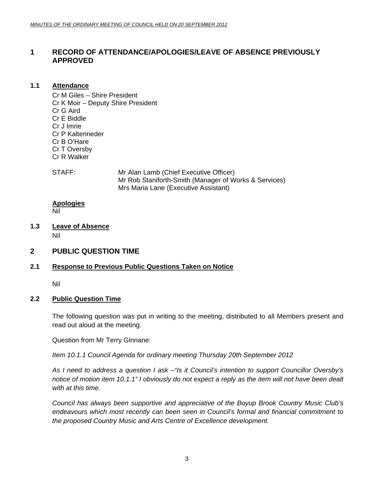### <span id="page-2-0"></span>**1 RECORD OF ATTENDANCE/APOLOGIES/LEAVE OF ABSENCE PREVIOUSLY APPROVED**

#### **1.1 Attendance**

Cr M Giles – Shire President Cr K Moir – Deputy Shire President Cr G Aird Cr E Biddle Cr J Imrie Cr P Kaltenrieder Cr B O'Hare Cr T Oversby Cr R Walker

STAFF: Mr Alan Lamb (Chief Executive Officer) Mr Rob Staniforth-Smith (Manager of Works & Services) Mrs Maria Lane (Executive Assistant)

### **Apologies**

Nil

- **1.3 Leave of Absence** Nil
- **2 PUBLIC QUESTION TIME**

#### **2.1 Response to Previous Public Questions Taken on Notice**

Nil

#### **2.2 Public Question Time**

The following question was put in writing to the meeting, distributed to all Members present and read out aloud at the meeting.

Question from Mr Terry Ginnane:

*Item 10.1.1 Council Agenda for ordinary meeting Thursday 20th September 2012* 

*As I need to address a question I ask –"Is it Council's intention to support Councillor Oversby's notice of motion item 10.1.1" I obviously do not expect a reply as the item will not have been dealt with at this time.* 

*Council has always been supportive and appreciative of the Boyup Brook Country Music Club's endeavours which most recently can been seen in Council's formal and financial commitment to the proposed Country Music and Arts Centre of Excellence development.*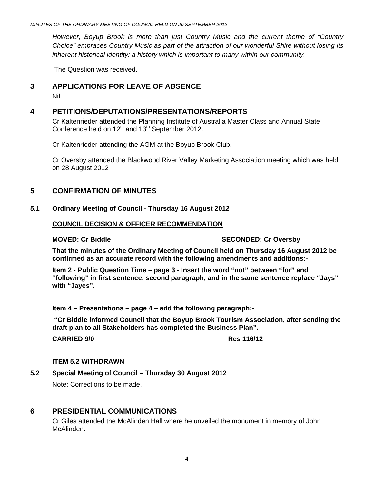<span id="page-3-0"></span>*However, Boyup Brook is more than just Country Music and the current theme of "Country Choice" embraces Country Music as part of the attraction of our wonderful Shire without losing its inherent historical identity: a history which is important to many within our community.* 

The Question was received.

#### **3 APPLICATIONS FOR LEAVE OF ABSENCE**

Nil

#### **4 PETITIONS/DEPUTATIONS/PRESENTATIONS/REPORTS**

Cr Kaltenrieder attended the Planning Institute of Australia Master Class and Annual State Conference held on  $12^{th}$  and  $13^{th}$  September 2012.

Cr Kaltenrieder attending the AGM at the Boyup Brook Club.

Cr Oversby attended the Blackwood River Valley Marketing Association meeting which was held on 28 August 2012

#### **5 CONFIRMATION OF MINUTES**

#### **5.1 Ordinary Meeting of Council - Thursday 16 August 2012**

#### **COUNCIL DECISION & OFFICER RECOMMENDATION**

#### **MOVED: Cr Biddle SECONDED: Cr Oversby**

**That the minutes of the Ordinary Meeting of Council held on Thursday 16 August 2012 be confirmed as an accurate record with the following amendments and additions:-** 

**Item 2 - Public Question Time – page 3 - Insert the word "not" between "for" and "following" in first sentence, second paragraph, and in the same sentence replace "Jays" with "Jayes".** 

**Item 4 – Presentations – page 4 – add the following paragraph:-** 

 **"Cr Biddle informed Council that the Boyup Brook Tourism Association, after sending the draft plan to all Stakeholders has completed the Business Plan".** 

**CARRIED 9/0 Res 116/12** 

#### **ITEM 5.2 WITHDRAWN**

**5.2 Special Meeting of Council – Thursday 30 August 2012** 

Note: Corrections to be made.

### **6 PRESIDENTIAL COMMUNICATIONS**

Cr Giles attended the McAlinden Hall where he unveiled the monument in memory of John McAlinden.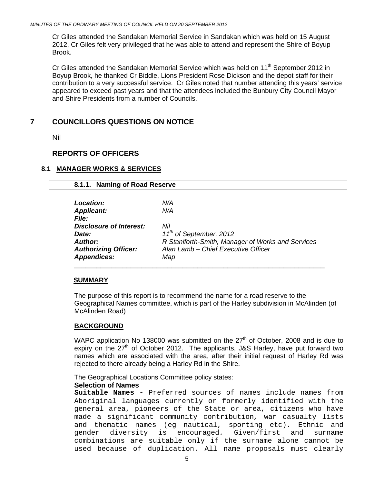<span id="page-4-0"></span>Cr Giles attended the Sandakan Memorial Service in Sandakan which was held on 15 August 2012, Cr Giles felt very privileged that he was able to attend and represent the Shire of Boyup Brook.

Cr Giles attended the Sandakan Memorial Service which was held on 11<sup>th</sup> September 2012 in Boyup Brook, he thanked Cr Biddle, Lions President Rose Dickson and the depot staff for their contribution to a very successful service. Cr Giles noted that number attending this years' service appeared to exceed past years and that the attendees included the Bunbury City Council Mayor and Shire Presidents from a number of Councils.

#### **7 COUNCILLORS QUESTIONS ON NOTICE**

Nil

#### **REPORTS OF OFFICERS**

#### **8.1 MANAGER WORKS & SERVICES**

| 8.1.1. Naming of Road Reserve  |                                                   |
|--------------------------------|---------------------------------------------------|
| <b>Location:</b>               | N/A                                               |
| <b>Applicant:</b>              | N/A                                               |
| <i>File:</i>                   |                                                   |
| <b>Disclosure of Interest:</b> | Nil                                               |
| Date:                          | 11 <sup>th</sup> of September, 2012               |
| Author:                        | R Staniforth-Smith, Manager of Works and Services |
| <b>Authorizing Officer:</b>    | Alan Lamb - Chief Executive Officer               |
| <b>Appendices:</b>             | Map                                               |

#### **SUMMARY**

The purpose of this report is to recommend the name for a road reserve to the Geographical Names committee, which is part of the Harley subdivision in McAlinden (of McAlinden Road)

#### **BACKGROUND**

WAPC application No 138000 was submitted on the  $27<sup>th</sup>$  of October, 2008 and is due to expiry on the  $27<sup>th</sup>$  of October 2012. The applicants, J&S Harley, have put forward two names which are associated with the area, after their initial request of Harley Rd was rejected to there already being a Harley Rd in the Shire.

The Geographical Locations Committee policy states:

#### **Selection of Names**

**Suitable Names -** Preferred sources of names include names from Aboriginal languages currently or formerly identified with the general area, pioneers of the State or area, citizens who have made a significant community contribution*,* war casualty lists and thematic names (eg nautical, sporting etc)*.* Ethnic and gender diversity is encouraged*.* Given/first and surname combinations are suitable only if the surname alone cannot be used because of duplication. All name proposals must clearly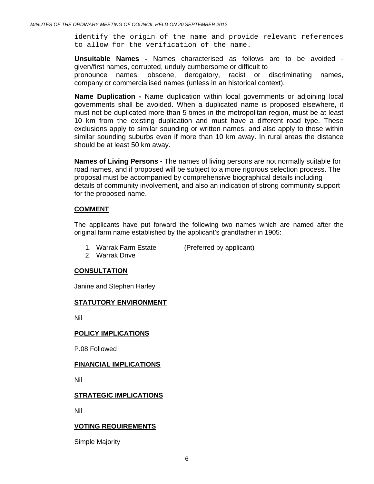identify the origin of the name and provide relevant references to allow for the verification of the name.

**Unsuitable Names -** Names characterised as follows are to be avoided given/first names, corrupted, unduly cumbersome or difficult to

 pronounce names, obscene, derogatory, racist or discriminating names, company or commercialised names (unless in an historical context).

**Name Duplication -** Name duplication within local governments or adjoining local governments shall be avoided. When a duplicated name is proposed elsewhere, it must not be duplicated more than 5 times in the metropolitan region, must be at least 10 km from the existing duplication and must have a different road type. These exclusions apply to similar sounding or written names, and also apply to those within similar sounding suburbs even if more than 10 km away. In rural areas the distance should be at least 50 km away.

**Names of Living Persons -** The names of living persons are not normally suitable for road names, and if proposed will be subject to a more rigorous selection process. The proposal must be accompanied by comprehensive biographical details including details of community involvement, and also an indication of strong community support for the proposed name.

#### **COMMENT**

The applicants have put forward the following two names which are named after the original farm name established by the applicant's grandfather in 1905:

- 1. Warrak Farm Estate (Preferred by applicant)
- 2. Warrak Drive

#### **CONSULTATION**

Janine and Stephen Harley

#### **STATUTORY ENVIRONMENT**

Nil

#### **POLICY IMPLICATIONS**

P.08 Followed

#### **FINANCIAL IMPLICATIONS**

Nil

#### **STRATEGIC IMPLICATIONS**

Nil

#### **VOTING REQUIREMENTS**

Simple Majority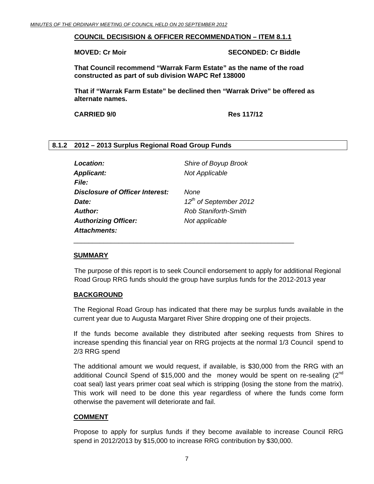#### <span id="page-6-0"></span>**COUNCIL DECISISION & OFFICER RECOMMENDATION – ITEM 8.1.1**

**MOVED: Cr Moir SECONDED: Cr Biddle** 

**That Council recommend "Warrak Farm Estate" as the name of the road constructed as part of sub division WAPC Ref 138000** 

**That if "Warrak Farm Estate" be declined then "Warrak Drive" be offered as alternate names.** 

**CARRIED 9/0 Res 117/12**

#### **8.1.2 2012 – 2013 Surplus Regional Road Group Funds**

| Location:                       | Shire of Boyup Brook               |
|---------------------------------|------------------------------------|
| <b>Applicant:</b>               | <b>Not Applicable</b>              |
| <i>File:</i>                    |                                    |
| Disclosure of Officer Interest: | None                               |
| Date:                           | 12 <sup>th</sup> of September 2012 |
| Author:                         | Rob Staniforth-Smith               |
| <b>Authorizing Officer:</b>     | Not applicable                     |
| <b>Attachments:</b>             |                                    |

\_\_\_\_\_\_\_\_\_\_\_\_\_\_\_\_\_\_\_\_\_\_\_\_\_\_\_\_\_\_\_\_\_\_\_\_\_\_\_\_\_\_\_\_\_\_\_\_\_\_\_\_\_\_\_\_\_\_\_

#### **SUMMARY**

The purpose of this report is to seek Council endorsement to apply for additional Regional Road Group RRG funds should the group have surplus funds for the 2012-2013 year

#### **BACKGROUND**

The Regional Road Group has indicated that there may be surplus funds available in the current year due to Augusta Margaret River Shire dropping one of their projects.

If the funds become available they distributed after seeking requests from Shires to increase spending this financial year on RRG projects at the normal 1/3 Council spend to 2/3 RRG spend

The additional amount we would request, if available, is \$30,000 from the RRG with an additional Council Spend of \$15,000 and the money would be spent on re-sealing  $(2^{nd}$ coat seal) last years primer coat seal which is stripping (losing the stone from the matrix). This work will need to be done this year regardless of where the funds come form otherwise the pavement will deteriorate and fail.

#### **COMMENT**

Propose to apply for surplus funds if they become available to increase Council RRG spend in 2012/2013 by \$15,000 to increase RRG contribution by \$30,000.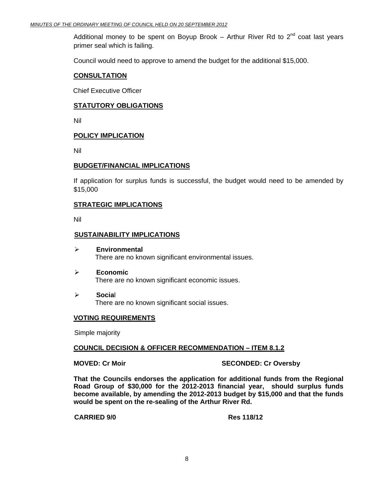Additional money to be spent on Boyup Brook – Arthur River Rd to  $2^{nd}$  coat last vears primer seal which is failing.

Council would need to approve to amend the budget for the additional \$15,000.

#### **CONSULTATION**

Chief Executive Officer

#### **STATUTORY OBLIGATIONS**

Nil

#### **POLICY IMPLICATION**

Nil

#### **BUDGET/FINANCIAL IMPLICATIONS**

If application for surplus funds is successful, the budget would need to be amended by \$15,000

#### **STRATEGIC IMPLICATIONS**

Nil

#### **SUSTAINABILITY IMPLICATIONS**

- ¾ **Environmental**  There are no known significant environmental issues.
- ¾ **Economic**  There are no known significant economic issues.
- ¾ **Socia**l There are no known significant social issues.

#### **VOTING REQUIREMENTS**

Simple majority

#### **COUNCIL DECISION & OFFICER RECOMMENDATION – ITEM 8.1.2**

**MOVED: Cr Moir** SECONDED: Cr Oversby

**That the Councils endorses the application for additional funds from the Regional Road Group of \$30,000 for the 2012-2013 financial year, should surplus funds become available, by amending the 2012-2013 budget by \$15,000 and that the funds would be spent on the re-sealing of the Arthur River Rd.** 

 **CARRIED 9/0 Res 118/12**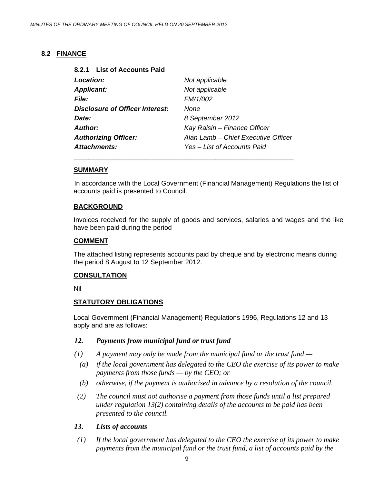#### <span id="page-8-0"></span>**8.2 FINANCE**

| <b>List of Accounts Paid</b><br>8.2.1 |                                     |
|---------------------------------------|-------------------------------------|
| Location:                             | Not applicable                      |
| <b>Applicant:</b>                     | Not applicable                      |
| <b>File:</b>                          | FM/1/002                            |
| Disclosure of Officer Interest:       | None                                |
| Date:                                 | 8 September 2012                    |
| Author:                               | Kay Raisin - Finance Officer        |
| <b>Authorizing Officer:</b>           | Alan Lamb – Chief Executive Officer |
| Attachments:                          | Yes – List of Accounts Paid         |

#### **SUMMARY**

In accordance with the Local Government (Financial Management) Regulations the list of accounts paid is presented to Council.

#### **BACKGROUND**

Invoices received for the supply of goods and services, salaries and wages and the like have been paid during the period

#### **COMMENT**

The attached listing represents accounts paid by cheque and by electronic means during the period 8 August to 12 September 2012.

#### **CONSULTATION**

Nil

#### **STATUTORY OBLIGATIONS**

Local Government (Financial Management) Regulations 1996, Regulations 12 and 13 apply and are as follows:

#### *12. Payments from municipal fund or trust fund*

- *(1) A payment may only be made from the municipal fund or the trust fund* 
	- *(a) if the local government has delegated to the CEO the exercise of its power to make payments from those funds — by the CEO; or*
	- *(b) otherwise, if the payment is authorised in advance by a resolution of the council.*
- *(2) The council must not authorise a payment from those funds until a list prepared under regulation 13(2) containing details of the accounts to be paid has been presented to the council.*

#### *13. Lists of accounts*

 *(1) If the local government has delegated to the CEO the exercise of its power to make payments from the municipal fund or the trust fund, a list of accounts paid by the*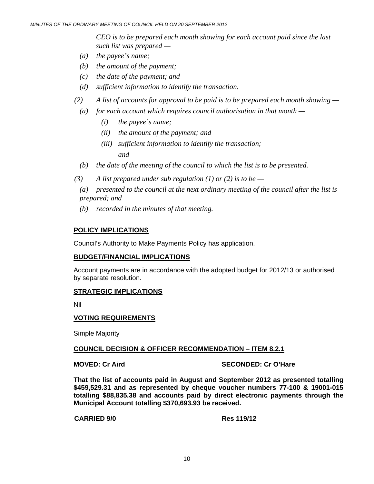*CEO is to be prepared each month showing for each account paid since the last such list was prepared —* 

- *(a) the payee's name;*
- *(b) the amount of the payment;*
- *(c) the date of the payment; and*
- *(d) sufficient information to identify the transaction.*
- *(2) A list of accounts for approval to be paid is to be prepared each month showing* 
	- *(a) for each account which requires council authorisation in that month* 
		- *(i) the payee's name;*
		- *(ii) the amount of the payment; and*
- *(iii) sufficient information to identify the transaction; and and* 
	- *(b) the date of the meeting of the council to which the list is to be presented.*
	- $(3)$  A list prepared under sub regulation (1) or (2) is to be
		- *(a) presented to the council at the next ordinary meeting of the council after the list is prepared; and*
		- *(b) recorded in the minutes of that meeting.*

#### **POLICY IMPLICATIONS**

Council's Authority to Make Payments Policy has application.

#### **BUDGET/FINANCIAL IMPLICATIONS**

Account payments are in accordance with the adopted budget for 2012/13 or authorised by separate resolution.

#### **STRATEGIC IMPLICATIONS**

Nil

#### **VOTING REQUIREMENTS**

Simple Majority

#### **COUNCIL DECISION & OFFICER RECOMMENDATION – ITEM 8.2.1**

**MOVED: Cr Aird SECONDED: Cr O'Hare** 

**That the list of accounts paid in August and September 2012 as presented totalling \$459,529.31 and as represented by cheque voucher numbers 77-100 & 19001-015 totalling \$88,835.38 and accounts paid by direct electronic payments through the Municipal Account totalling \$370,693.93 be received.** 

#### **CARRIED 9/0 Res 119/12**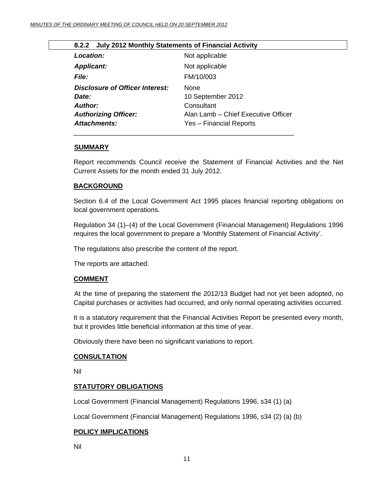|  |  | 8.2.2 July 2012 Monthly Statements of Financial Activity |
|--|--|----------------------------------------------------------|
|--|--|----------------------------------------------------------|

<span id="page-10-0"></span>

| Location:                       | Not applicable                      |
|---------------------------------|-------------------------------------|
| <b>Applicant:</b>               | Not applicable                      |
| <i>File:</i>                    | FM/10/003                           |
| Disclosure of Officer Interest: | <b>None</b>                         |
| Date:                           | 10 September 2012                   |
| Author:                         | Consultant                          |
| <b>Authorizing Officer:</b>     | Alan Lamb - Chief Executive Officer |
| <b>Attachments:</b>             | Yes - Financial Reports             |

#### **SUMMARY**

Report recommends Council receive the Statement of Financial Activities and the Net Current Assets for the month ended 31 July 2012.

#### **BACKGROUND**

Section 6.4 of the Local Government Act 1995 places financial reporting obligations on local government operations.

Regulation 34 (1)–(4) of the Local Government (Financial Management) Regulations 1996 requires the local government to prepare a 'Monthly Statement of Financial Activity'.

The regulations also prescribe the content of the report.

The reports are attached.

#### **COMMENT**

 At the time of preparing the statement the 2012/13 Budget had not yet been adopted, no Capital purchases or activities had occurred, and only normal operating activities occurred.

It is a statutory requirement that the Financial Activities Report be presented every month, but it provides little beneficial information at this time of year.

Obviously there have been no significant variations to report.

#### **CONSULTATION**

Nil

#### **STATUTORY OBLIGATIONS**

Local Government (Financial Management) Regulations 1996, s34 (1) (a)

Local Government (Financial Management) Regulations 1996, s34 (2) (a) (b)

#### **POLICY IMPLICATIONS**

Nil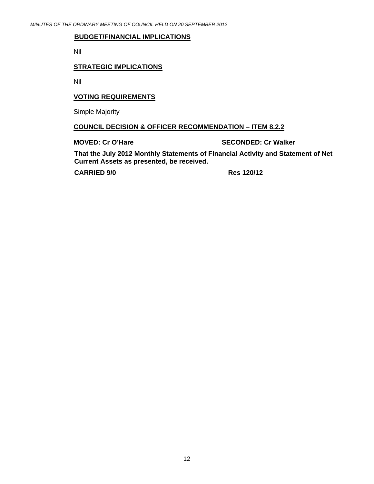#### **BUDGET/FINANCIAL IMPLICATIONS**

Nil

#### **STRATEGIC IMPLICATIONS**

Nil

#### **VOTING REQUIREMENTS**

Simple Majority

#### **COUNCIL DECISION & OFFICER RECOMMENDATION – ITEM 8.2.2**

**MOVED: Cr O'Hare SECONDED: Cr Walker** 

**That the July 2012 Monthly Statements of Financial Activity and Statement of Net Current Assets as presented, be received.** 

**CARRIED 9/0 Res 120/12**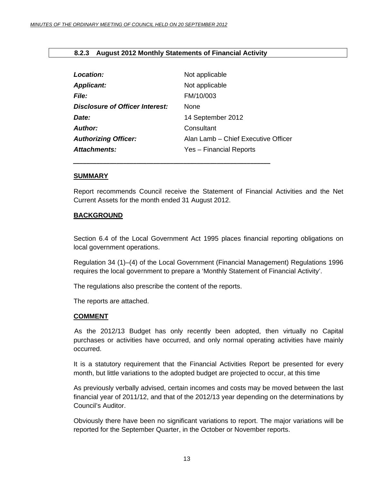#### <span id="page-12-0"></span>**8.2.3 August 2012 Monthly Statements of Financial Activity**

| Location:                       | Not applicable                      |
|---------------------------------|-------------------------------------|
| <b>Applicant:</b>               | Not applicable                      |
| <b>File:</b>                    | FM/10/003                           |
| Disclosure of Officer Interest: | None                                |
| Date:                           | 14 September 2012                   |
| Author:                         | Consultant                          |
| <b>Authorizing Officer:</b>     | Alan Lamb – Chief Executive Officer |
| Attachments:                    | Yes - Financial Reports             |
|                                 |                                     |

*\_\_\_\_\_\_\_\_\_\_\_\_\_\_\_\_\_\_\_\_\_\_\_\_\_\_\_\_\_\_\_\_\_\_\_\_\_\_\_\_\_\_\_\_\_\_\_\_\_\_\_\_\_\_\_\_\_\_\_*

#### **SUMMARY**

Report recommends Council receive the Statement of Financial Activities and the Net Current Assets for the month ended 31 August 2012.

#### **BACKGROUND**

Section 6.4 of the Local Government Act 1995 places financial reporting obligations on local government operations.

Regulation 34 (1)–(4) of the Local Government (Financial Management) Regulations 1996 requires the local government to prepare a 'Monthly Statement of Financial Activity'.

The regulations also prescribe the content of the reports.

The reports are attached.

#### **COMMENT**

 As the 2012/13 Budget has only recently been adopted, then virtually no Capital purchases or activities have occurred, and only normal operating activities have mainly occurred.

It is a statutory requirement that the Financial Activities Report be presented for every month, but little variations to the adopted budget are projected to occur, at this time

As previously verbally advised, certain incomes and costs may be moved between the last financial year of 2011/12, and that of the 2012/13 year depending on the determinations by Council's Auditor.

Obviously there have been no significant variations to report. The major variations will be reported for the September Quarter, in the October or November reports.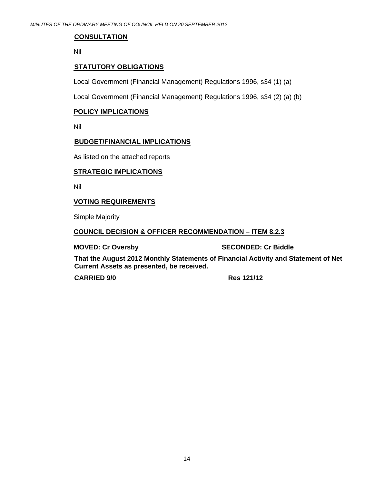#### **CONSULTATION**

Nil

#### **STATUTORY OBLIGATIONS**

Local Government (Financial Management) Regulations 1996, s34 (1) (a)

Local Government (Financial Management) Regulations 1996, s34 (2) (a) (b)

#### **POLICY IMPLICATIONS**

Nil

#### **BUDGET/FINANCIAL IMPLICATIONS**

As listed on the attached reports

#### **STRATEGIC IMPLICATIONS**

Nil

#### **VOTING REQUIREMENTS**

Simple Majority

#### **COUNCIL DECISION & OFFICER RECOMMENDATION – ITEM 8.2.3**

**MOVED: Cr Oversby SECONDED: Cr Biddle** 

**That the August 2012 Monthly Statements of Financial Activity and Statement of Net Current Assets as presented, be received.** 

 **CARRIED 9/0 Res 121/12**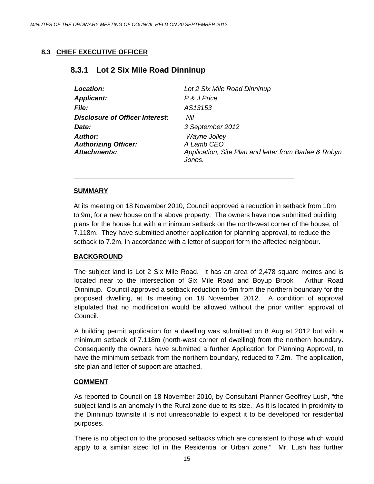#### <span id="page-14-0"></span>**8.3 CHIEF EXECUTIVE OFFICER**

### **8.3.1 Lot 2 Six Mile Road Dinninup**

| Location:                                                            | Lot 2 Six Mile Road Dinninup                                                                  |
|----------------------------------------------------------------------|-----------------------------------------------------------------------------------------------|
| <b>Applicant:</b>                                                    | P & J Price                                                                                   |
| <b>File:</b>                                                         | AS13153                                                                                       |
| Disclosure of Officer Interest:                                      | Nil                                                                                           |
| Date:                                                                | 3 September 2012                                                                              |
| <b>Author:</b><br><b>Authorizing Officer:</b><br><b>Attachments:</b> | Wayne Jolley<br>A Lamb CEO<br>Application, Site Plan and letter from Barlee & Robyn<br>Jones. |

#### **SUMMARY**

At its meeting on 18 November 2010, Council approved a reduction in setback from 10m to 9m, for a new house on the above property. The owners have now submitted building plans for the house but with a minimum setback on the north-west corner of the house, of 7.118m. They have submitted another application for planning approval, to reduce the setback to 7.2m, in accordance with a letter of support form the affected neighbour.

*\_\_\_\_\_\_\_\_\_\_\_\_\_\_\_\_\_\_\_\_\_\_\_\_\_\_\_\_\_\_\_\_\_\_\_\_\_\_\_\_\_\_\_\_\_\_\_\_\_\_\_\_\_\_\_\_\_\_\_* 

#### **BACKGROUND**

The subject land is Lot 2 Six Mile Road. It has an area of 2,478 square metres and is located near to the intersection of Six Mile Road and Boyup Brook – Arthur Road Dinninup. Council approved a setback reduction to 9m from the northern boundary for the proposed dwelling, at its meeting on 18 November 2012. A condition of approval stipulated that no modification would be allowed without the prior written approval of Council.

A building permit application for a dwelling was submitted on 8 August 2012 but with a minimum setback of 7.118m (north-west corner of dwelling) from the northern boundary. Consequently the owners have submitted a further Application for Planning Approval, to have the minimum setback from the northern boundary, reduced to 7.2m. The application, site plan and letter of support are attached.

#### **COMMENT**

As reported to Council on 18 November 2010, by Consultant Planner Geoffrey Lush, "the subject land is an anomaly in the Rural zone due to its size. As it is located in proximity to the Dinninup townsite it is not unreasonable to expect it to be developed for residential purposes.

There is no objection to the proposed setbacks which are consistent to those which would apply to a similar sized lot in the Residential or Urban zone." Mr. Lush has further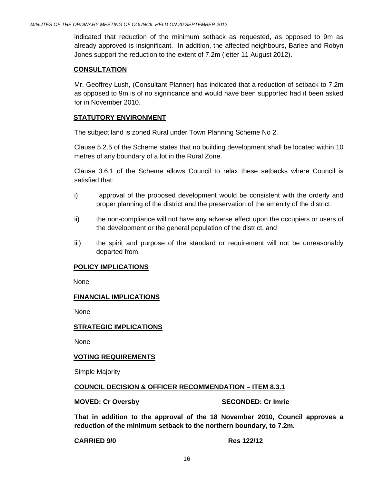indicated that reduction of the minimum setback as requested, as opposed to 9m as already approved is insignificant. In addition, the affected neighbours, Barlee and Robyn Jones support the reduction to the extent of 7.2m (letter 11 August 2012).

#### **CONSULTATION**

Mr. Geoffrey Lush, (Consultant Planner) has indicated that a reduction of setback to 7.2m as opposed to 9m is of no significance and would have been supported had it been asked for in November 2010.

#### **STATUTORY ENVIRONMENT**

The subject land is zoned Rural under Town Planning Scheme No 2.

Clause 5.2.5 of the Scheme states that no building development shall be located within 10 metres of any boundary of a lot in the Rural Zone.

Clause 3.6.1 of the Scheme allows Council to relax these setbacks where Council is satisfied that:

- i) approval of the proposed development would be consistent with the orderly and proper planning of the district and the preservation of the amenity of the district.
- ii) the non-compliance will not have any adverse effect upon the occupiers or users of the development or the general population of the district, and
- iii) the spirit and purpose of the standard or requirement will not be unreasonably departed from.

#### **POLICY IMPLICATIONS**

None

#### **FINANCIAL IMPLICATIONS**

None

#### **STRATEGIC IMPLICATIONS**

None

#### **VOTING REQUIREMENTS**

Simple Majority

#### **COUNCIL DECISION & OFFICER RECOMMENDATION – ITEM 8.3.1**

**MOVED: Cr Oversby SECONDED: Cr Imrie 2018** 

**That in addition to the approval of the 18 November 2010, Council approves a reduction of the minimum setback to the northern boundary, to 7.2m.** 

**CARRIED 9/0 Res 122/12**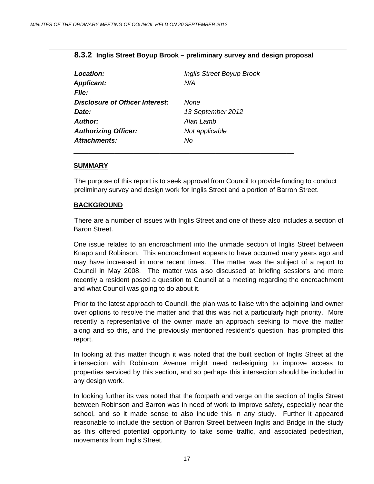<span id="page-16-0"></span>

|  |  |  | 8.3.2 Inglis Street Boyup Brook – preliminary survey and design proposal |  |
|--|--|--|--------------------------------------------------------------------------|--|
|--|--|--|--------------------------------------------------------------------------|--|

| Location:<br><b>Applicant:</b><br><b>File:</b>  | <b>Inglis Street Boyup Brook</b><br>N/A |
|-------------------------------------------------|-----------------------------------------|
| <b>Disclosure of Officer Interest:</b><br>Date: | None<br>13 September 2012               |
| Author:                                         | Alan Lamb                               |
| <b>Authorizing Officer:</b>                     | Not applicable                          |
| <b>Attachments:</b>                             | No                                      |

\_\_\_\_\_\_\_\_\_\_\_\_\_\_\_\_\_\_\_\_\_\_\_\_\_\_\_\_\_\_\_\_\_\_\_\_\_\_\_\_\_\_\_\_\_\_\_\_\_\_\_\_\_\_\_\_\_\_\_

#### **SUMMARY**

The purpose of this report is to seek approval from Council to provide funding to conduct preliminary survey and design work for Inglis Street and a portion of Barron Street.

#### **BACKGROUND**

 There are a number of issues with Inglis Street and one of these also includes a section of Baron Street.

One issue relates to an encroachment into the unmade section of Inglis Street between Knapp and Robinson. This encroachment appears to have occurred many years ago and may have increased in more recent times. The matter was the subject of a report to Council in May 2008. The matter was also discussed at briefing sessions and more recently a resident posed a question to Council at a meeting regarding the encroachment and what Council was going to do about it.

Prior to the latest approach to Council, the plan was to liaise with the adjoining land owner over options to resolve the matter and that this was not a particularly high priority. More recently a representative of the owner made an approach seeking to move the matter along and so this, and the previously mentioned resident's question, has prompted this report.

In looking at this matter though it was noted that the built section of Inglis Street at the intersection with Robinson Avenue might need redesigning to improve access to properties serviced by this section, and so perhaps this intersection should be included in any design work.

In looking further its was noted that the footpath and verge on the section of Inglis Street between Robinson and Barron was in need of work to improve safety, especially near the school, and so it made sense to also include this in any study. Further it appeared reasonable to include the section of Barron Street between Inglis and Bridge in the study as this offered potential opportunity to take some traffic, and associated pedestrian, movements from Inglis Street.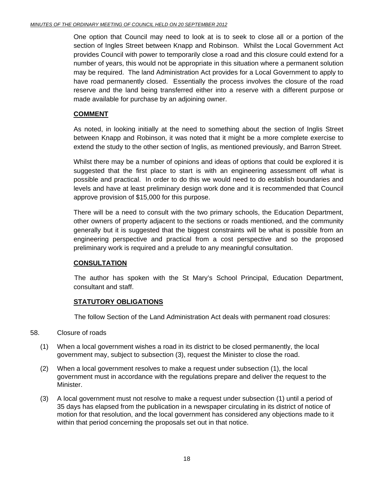One option that Council may need to look at is to seek to close all or a portion of the section of Ingles Street between Knapp and Robinson. Whilst the Local Government Act provides Council with power to temporarily close a road and this closure could extend for a number of years, this would not be appropriate in this situation where a permanent solution may be required. The land Administration Act provides for a Local Government to apply to have road permanently closed. Essentially the process involves the closure of the road reserve and the land being transferred either into a reserve with a different purpose or made available for purchase by an adjoining owner.

#### **COMMENT**

As noted, in looking initially at the need to something about the section of Inglis Street between Knapp and Robinson, it was noted that it might be a more complete exercise to extend the study to the other section of Inglis, as mentioned previously, and Barron Street.

Whilst there may be a number of opinions and ideas of options that could be explored it is suggested that the first place to start is with an engineering assessment off what is possible and practical. In order to do this we would need to do establish boundaries and levels and have at least preliminary design work done and it is recommended that Council approve provision of \$15,000 for this purpose.

There will be a need to consult with the two primary schools, the Education Department, other owners of property adjacent to the sections or roads mentioned, and the community generally but it is suggested that the biggest constraints will be what is possible from an engineering perspective and practical from a cost perspective and so the proposed preliminary work is required and a prelude to any meaningful consultation.

#### **CONSULTATION**

 The author has spoken with the St Mary's School Principal, Education Department, consultant and staff.

#### **STATUTORY OBLIGATIONS**

The follow Section of the Land Administration Act deals with permanent road closures:

#### 58. Closure of roads

- (1) When a local government wishes a road in its district to be closed permanently, the local government may, subject to subsection (3), request the Minister to close the road.
- (2) When a local government resolves to make a request under subsection (1), the local government must in accordance with the regulations prepare and deliver the request to the Minister.
- (3) A local government must not resolve to make a request under subsection (1) until a period of 35 days has elapsed from the publication in a newspaper circulating in its district of notice of motion for that resolution, and the local government has considered any objections made to it within that period concerning the proposals set out in that notice.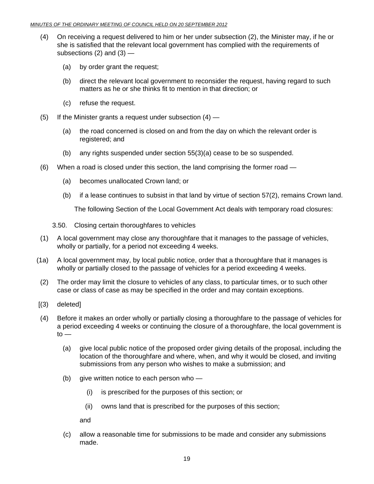- (4) On receiving a request delivered to him or her under subsection (2), the Minister may, if he or she is satisfied that the relevant local government has complied with the requirements of subsections  $(2)$  and  $(3)$  —
	- (a) by order grant the request;
	- (b) direct the relevant local government to reconsider the request, having regard to such matters as he or she thinks fit to mention in that direction; or
	- (c) refuse the request.
- (5) If the Minister grants a request under subsection  $(4)$ 
	- (a) the road concerned is closed on and from the day on which the relevant order is registered; and
	- (b) any rights suspended under section 55(3)(a) cease to be so suspended.
- (6) When a road is closed under this section, the land comprising the former road
	- (a) becomes unallocated Crown land; or
	- (b) if a lease continues to subsist in that land by virtue of section 57(2), remains Crown land.

The following Section of the Local Government Act deals with temporary road closures:

- 3.50. Closing certain thoroughfares to vehicles
- (1) A local government may close any thoroughfare that it manages to the passage of vehicles, wholly or partially, for a period not exceeding 4 weeks.
- (1a) A local government may, by local public notice, order that a thoroughfare that it manages is wholly or partially closed to the passage of vehicles for a period exceeding 4 weeks.
- (2) The order may limit the closure to vehicles of any class, to particular times, or to such other case or class of case as may be specified in the order and may contain exceptions.
- [(3) deleted]
- (4) Before it makes an order wholly or partially closing a thoroughfare to the passage of vehicles for a period exceeding 4 weeks or continuing the closure of a thoroughfare, the local government is  $to -$ 
	- (a) give local public notice of the proposed order giving details of the proposal, including the location of the thoroughfare and where, when, and why it would be closed, and inviting submissions from any person who wishes to make a submission; and
	- (b) give written notice to each person who  $-$ 
		- (i) is prescribed for the purposes of this section; or
		- (ii) owns land that is prescribed for the purposes of this section;

and

 (c) allow a reasonable time for submissions to be made and consider any submissions made.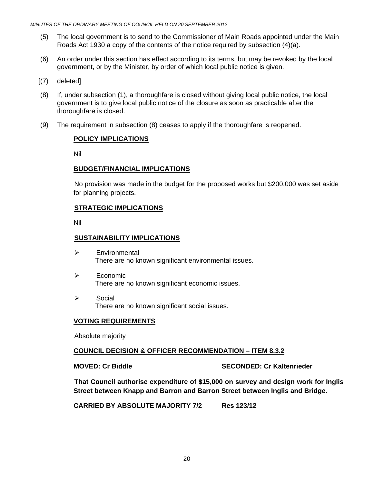- (5) The local government is to send to the Commissioner of Main Roads appointed under the Main Roads Act 1930 a copy of the contents of the notice required by subsection (4)(a).
- (6) An order under this section has effect according to its terms, but may be revoked by the local government, or by the Minister, by order of which local public notice is given.
- [(7) deleted]
- (8) If, under subsection (1), a thoroughfare is closed without giving local public notice, the local government is to give local public notice of the closure as soon as practicable after the thoroughfare is closed.
- (9) The requirement in subsection (8) ceases to apply if the thoroughfare is reopened.

#### **POLICY IMPLICATIONS**

Nil

#### **BUDGET/FINANCIAL IMPLICATIONS**

No provision was made in the budget for the proposed works but \$200,000 was set aside for planning projects.

#### **STRATEGIC IMPLICATIONS**

Nil

#### **SUSTAINABILITY IMPLICATIONS**

- ¾ Environmental There are no known significant environmental issues.
- $\triangleright$  Economic There are no known significant economic issues.
- ¾ Social There are no known significant social issues.

#### **VOTING REQUIREMENTS**

Absolute majority

#### **COUNCIL DECISION & OFFICER RECOMMENDATION – ITEM 8.3.2**

**MOVED: Cr Biddle SECONDED: Cr Kaltenrieder** 

 **That Council authorise expenditure of \$15,000 on survey and design work for Inglis Street between Knapp and Barron and Barron Street between Inglis and Bridge.** 

**CARRIED BY ABSOLUTE MAJORITY 7/2 Res 123/12**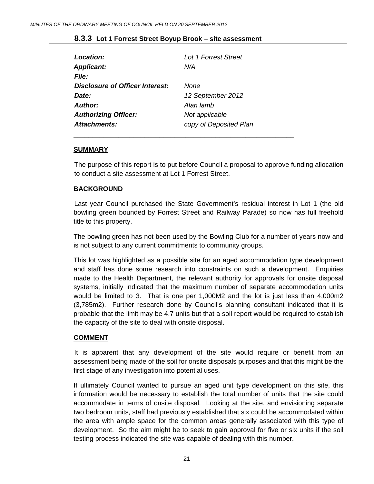#### **8.3.3 Lot 1 Forrest Street Boyup Brook – site assessment**

<span id="page-20-0"></span>

| Location:                       | Lot 1 Forrest Street   |
|---------------------------------|------------------------|
| <b>Applicant:</b>               | N/A                    |
| <b>File:</b>                    |                        |
| Disclosure of Officer Interest: | <b>None</b>            |
| Date:                           | 12 September 2012      |
| <b>Author:</b>                  | Alan lamb              |
| <b>Authorizing Officer:</b>     | Not applicable         |
| <b>Attachments:</b>             | copy of Deposited Plan |
|                                 |                        |

#### **SUMMARY**

The purpose of this report is to put before Council a proposal to approve funding allocation to conduct a site assessment at Lot 1 Forrest Street.

#### **BACKGROUND**

 Last year Council purchased the State Government's residual interest in Lot 1 (the old bowling green bounded by Forrest Street and Railway Parade) so now has full freehold title to this property.

The bowling green has not been used by the Bowling Club for a number of years now and is not subject to any current commitments to community groups.

This lot was highlighted as a possible site for an aged accommodation type development and staff has done some research into constraints on such a development. Enquiries made to the Health Department, the relevant authority for approvals for onsite disposal systems, initially indicated that the maximum number of separate accommodation units would be limited to 3. That is one per 1,000M2 and the lot is just less than 4,000m2 (3,785m2). Further research done by Council's planning consultant indicated that it is probable that the limit may be 4.7 units but that a soil report would be required to establish the capacity of the site to deal with onsite disposal.

#### **COMMENT**

 It is apparent that any development of the site would require or benefit from an assessment being made of the soil for onsite disposals purposes and that this might be the first stage of any investigation into potential uses.

If ultimately Council wanted to pursue an aged unit type development on this site, this information would be necessary to establish the total number of units that the site could accommodate in terms of onsite disposal. Looking at the site, and envisioning separate two bedroom units, staff had previously established that six could be accommodated within the area with ample space for the common areas generally associated with this type of development. So the aim might be to seek to gain approval for five or six units if the soil testing process indicated the site was capable of dealing with this number.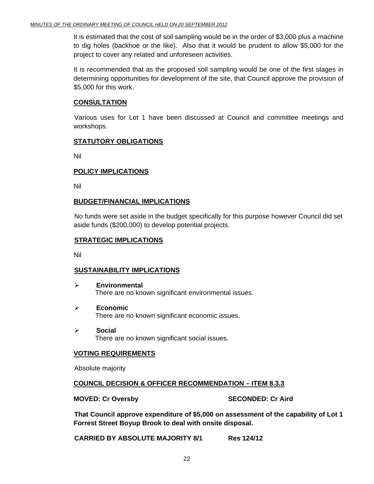It is estimated that the cost of soil sampling would be in the order of \$3,000 plus a machine to dig holes (backhoe or the like). Also that it would be prudent to allow \$5,000 for the project to cover any related and unforeseen activities.

It is recommended that as the proposed soil sampling would be one of the first stages in determining opportunities for development of the site, that Council approve the provision of \$5,000 for this work.

#### **CONSULTATION**

 Various uses for Lot 1 have been discussed at Council and committee meetings and workshops.

#### **STATUTORY OBLIGATIONS**

Nil

#### **POLICY IMPLICATIONS**

Nil

#### **BUDGET/FINANCIAL IMPLICATIONS**

No funds were set aside in the budget specifically for this purpose however Council did set aside funds (\$200,000) to develop potential projects.

#### **STRATEGIC IMPLICATIONS**

Nil

#### **SUSTAINABILITY IMPLICATIONS**

- ¾ **Environmental**  There are no known significant environmental issues.
- ¾ **Economic**  There are no known significant economic issues.
- ¾ **Social**  There are no known significant social issues.

#### **VOTING REQUIREMENTS**

Absolute majority

#### **COUNCIL DECISION & OFFICER RECOMMENDATION – ITEM 8.3.3**

**MOVED: Cr Oversby SECONDED: Cr Aird 3DECONDED: Cr Aird 3DECONDED: Cr Aird 3DECONDED: Cr Aird 3DECONDED: Cr Aird 3DECONDED: Cr Aird 3DECONDED: Cr Aird 3DECONDED: Cr Aird 3DECONDED: Cr Aird 3DECONDED: Cr Aird 3DECONDED: Cr** 

 **That Council approve expenditure of \$5,000 on assessment of the capability of Lot 1 Forrest Street Boyup Brook to deal with onsite disposal.** 

**CARRIED BY ABSOLUTE MAJORITY 8/1 Res 124/12**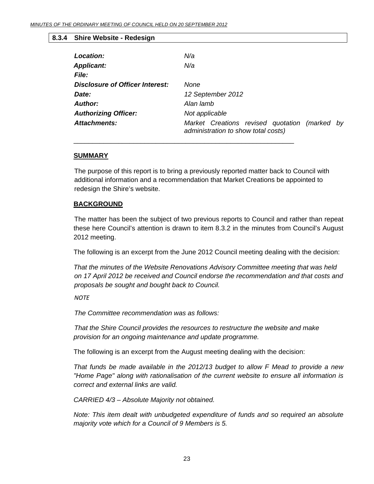#### <span id="page-22-0"></span>**8.3.4 Shire Website - Redesign**

| N/a                                                                                  |
|--------------------------------------------------------------------------------------|
| N/a                                                                                  |
|                                                                                      |
| None                                                                                 |
| 12 September 2012                                                                    |
| Alan lamb                                                                            |
| Not applicable                                                                       |
| Market Creations revised quotation (marked by<br>administration to show total costs) |
|                                                                                      |

#### **SUMMARY**

The purpose of this report is to bring a previously reported matter back to Council with additional information and a recommendation that Market Creations be appointed to redesign the Shire's website.

\_\_\_\_\_\_\_\_\_\_\_\_\_\_\_\_\_\_\_\_\_\_\_\_\_\_\_\_\_\_\_\_\_\_\_\_\_\_\_\_\_\_\_\_\_\_\_\_\_\_\_\_\_\_\_\_\_\_\_

#### **BACKGROUND**

 The matter has been the subject of two previous reports to Council and rather than repeat these here Council's attention is drawn to item 8.3.2 in the minutes from Council's August 2012 meeting.

The following is an excerpt from the June 2012 Council meeting dealing with the decision:

*That the minutes of the Website Renovations Advisory Committee meeting that was held on 17 April 2012 be received and Council endorse the recommendation and that costs and proposals be sought and bought back to Council.* 

*NOTE*

 *The Committee recommendation was as follows:* 

 *That the Shire Council provides the resources to restructure the website and make provision for an ongoing maintenance and update programme.* 

The following is an excerpt from the August meeting dealing with the decision:

*That funds be made available in the 2012/13 budget to allow F Mead to provide a new "Home Page" along with rationalisation of the current website to ensure all information is correct and external links are valid.* 

*CARRIED 4/3 – Absolute Majority not obtained.* 

*Note: This item dealt with unbudgeted expenditure of funds and so required an absolute majority vote which for a Council of 9 Members is 5.*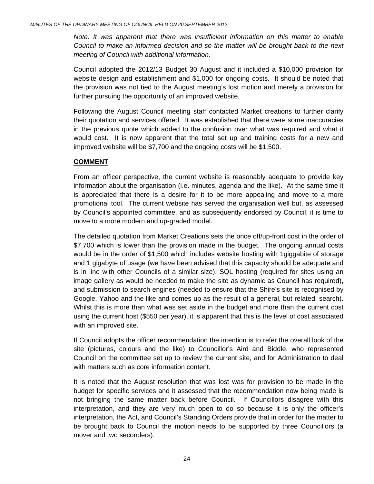*Note: It was apparent that there was insufficient information on this matter to enable Council to make an informed decision and so the matter will be brought back to the next meeting of Council with additional information.* 

Council adopted the 2012/13 Budget 30 August and it included a \$10,000 provision for website design and establishment and \$1,000 for ongoing costs. It should be noted that the provision was not tied to the August meeting's lost motion and merely a provision for further pursuing the opportunity of an improved website.

Following the August Council meeting staff contacted Market creations to further clarify their quotation and services offered. It was established that there were some inaccuracies in the previous quote which added to the confusion over what was required and what it would cost. It is now apparent that the total set up and training costs for a new and improved website will be \$7,700 and the ongoing costs will be \$1,500.

#### **COMMENT**

From an officer perspective, the current website is reasonably adequate to provide key information about the organisation (i.e. minutes, agenda and the like). At the same time it is appreciated that there is a desire for it to be more appealing and move to a more promotional tool. The current website has served the organisation well but, as assessed by Council's appointed committee, and as subsequently endorsed by Council, it is time to move to a more modern and up-graded model.

The detailed quotation from Market Creations sets the once off/up-front cost in the order of \$7,700 which is lower than the provision made in the budget. The ongoing annual costs would be in the order of \$1,500 which includes website hosting with 1giggabite of storage and 1 gigabyte of usage (we have been advised that this capacity should be adequate and is in line with other Councils of a similar size), SQL hosting (required for sites using an image gallery as would be needed to make the site as dynamic as Council has required), and submission to search engines (needed to ensure that the Shire's site is recognised by Google, Yahoo and the like and comes up as the result of a general, but related, search). Whilst this is more than what was set aside in the budget and more than the current cost using the current host (\$550 per year), it is apparent that this is the level of cost associated with an improved site.

If Council adopts the officer recommendation the intention is to refer the overall look of the site (pictures, colours and the like) to Councillor's Aird and Biddle, who represented Council on the committee set up to review the current site, and for Administration to deal with matters such as core information content.

It is noted that the August resolution that was lost was for provision to be made in the budget for specific services and it assessed that the recommendation now being made is not bringing the same matter back before Council. If Councillors disagree with this interpretation, and they are very much open to do so because it is only the officer's interpretation, the Act, and Council's Standing Orders provide that in order for the matter to be brought back to Council the motion needs to be supported by three Councillors (a mover and two seconders).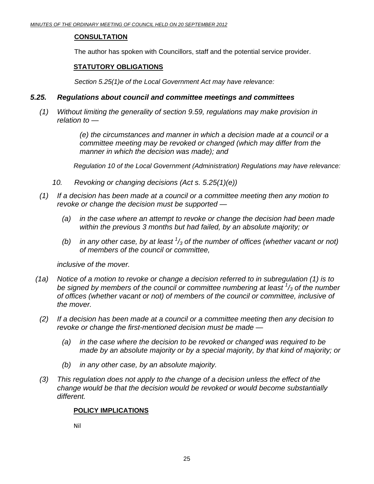#### **CONSULTATION**

The author has spoken with Councillors, staff and the potential service provider.

### **STATUTORY OBLIGATIONS**

 *Section 5.25(1)e of the Local Government Act may have relevance:* 

#### *5.25. Regulations about council and committee meetings and committees*

 *(1) Without limiting the generality of section 9.59, regulations may make provision in relation to —* 

> *(e) the circumstances and manner in which a decision made at a council or a committee meeting may be revoked or changed (which may differ from the manner in which the decision was made); and*

*Regulation 10 of the Local Government (Administration) Regulations may have relevance:* 

- *10. Revoking or changing decisions (Act s. 5.25(1)(e))*
- *(1) If a decision has been made at a council or a committee meeting then any motion to revoke or change the decision must be supported —* 
	- *(a) in the case where an attempt to revoke or change the decision had been made within the previous 3 months but had failed, by an absolute majority; or*
- *(b) in any other case, by at least 1 /3 of the number of offices (whether vacant or not) of members of the council or committee,*

 *inclusive of the mover.* 

- *(1a) Notice of a motion to revoke or change a decision referred to in subregulation (1) is to be signed by members of the council or committee numbering at least <sup>1</sup> /3 of the number of offices (whether vacant or not) of members of the council or committee, inclusive of the mover.*
- *(2) If a decision has been made at a council or a committee meeting then any decision to revoke or change the first-mentioned decision must be made —* 
	- *(a) in the case where the decision to be revoked or changed was required to be made by an absolute majority or by a special majority, by that kind of majority; or*
	- *(b) in any other case, by an absolute majority.*
- *(3) This regulation does not apply to the change of a decision unless the effect of the change would be that the decision would be revoked or would become substantially different.*

#### **POLICY IMPLICATIONS**

Nil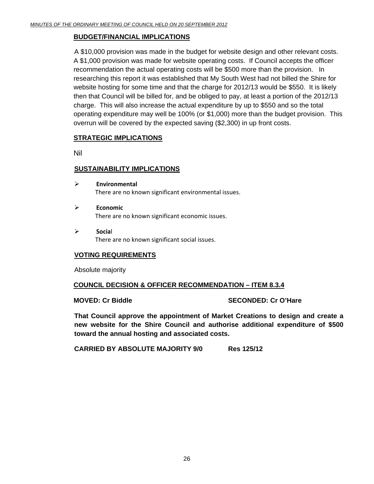#### **BUDGET/FINANCIAL IMPLICATIONS**

A \$10,000 provision was made in the budget for website design and other relevant costs. A \$1,000 provision was made for website operating costs. If Council accepts the officer recommendation the actual operating costs will be \$500 more than the provision. In researching this report it was established that My South West had not billed the Shire for website hosting for some time and that the charge for 2012/13 would be \$550. It is likely then that Council will be billed for, and be obliged to pay, at least a portion of the 2012/13 charge. This will also increase the actual expenditure by up to \$550 and so the total operating expenditure may well be 100% (or \$1,000) more than the budget provision. This overrun will be covered by the expected saving (\$2,300) in up front costs.

#### **STRATEGIC IMPLICATIONS**

Nil

#### **SUSTAINABILITY IMPLICATIONS**

- ¾ **Environmental** There are no known significant environmental issues.
- ¾ **Economic** There are no known significant economic issues.
- ¾ **Socia**l There are no known significant social issues.

#### **VOTING REQUIREMENTS**

Absolute majority

#### **COUNCIL DECISION & OFFICER RECOMMENDATION – ITEM 8.3.4**

#### **MOVED: Cr Biddle SECONDED: Cr O'Hare**

**That Council approve the appointment of Market Creations to design and create a new website for the Shire Council and authorise additional expenditure of \$500 toward the annual hosting and associated costs.** 

**CARRIED BY ABSOLUTE MAJORITY 9/0 Res 125/12**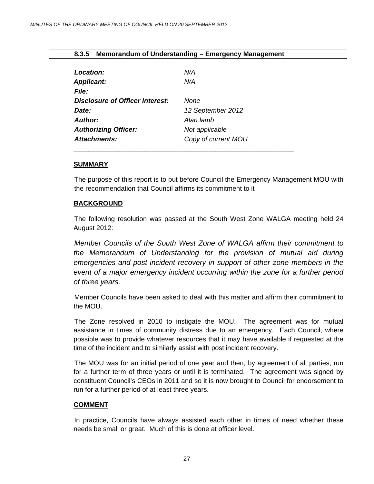<span id="page-26-0"></span>

|  | 8.3.5 Memorandum of Understanding – Emergency Management |
|--|----------------------------------------------------------|
|--|----------------------------------------------------------|

| Location:                              | N/A                 |
|----------------------------------------|---------------------|
| <b>Applicant:</b>                      | N/A                 |
| File:                                  |                     |
| <b>Disclosure of Officer Interest:</b> | <b>None</b>         |
| Date:                                  | 12 September 2012   |
| Author:                                | Alan lamb           |
| <b>Authorizing Officer:</b>            | Not applicable      |
| Attachments:                           | Copy of current MOU |

#### **SUMMARY**

The purpose of this report is to put before Council the Emergency Management MOU with the recommendation that Council affirms its commitment to it

#### **BACKGROUND**

 The following resolution was passed at the South West Zone WALGA meeting held 24 August 2012:

*Member Councils of the South West Zone of WALGA affirm their commitment to the Memorandum of Understanding for the provision of mutual aid during emergencies and post incident recovery in support of other zone members in the event of a major emergency incident occurring within the zone for a further period of three years.* 

Member Councils have been asked to deal with this matter and affirm their commitment to the MOU.

The Zone resolved in 2010 to instigate the MOU. The agreement was for mutual assistance in times of community distress due to an emergency. Each Council, where possible was to provide whatever resources that it may have available if requested at the time of the incident and to similarly assist with post incident recovery.

The MOU was for an initial period of one year and then, by agreement of all parties, run for a further term of three years or until it is terminated. The agreement was signed by constituent Council's CEOs in 2011 and so it is now brought to Council for endorsement to run for a further period of at least three years.

#### **COMMENT**

 In practice, Councils have always assisted each other in times of need whether these needs be small or great. Much of this is done at officer level.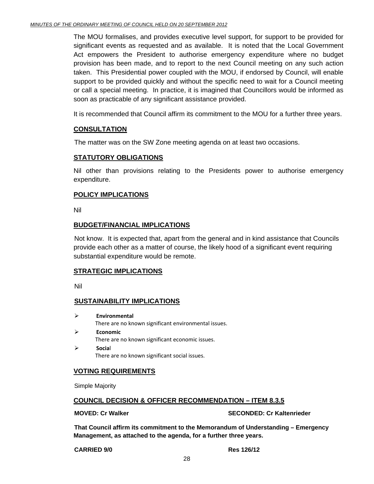The MOU formalises, and provides executive level support, for support to be provided for significant events as requested and as available. It is noted that the Local Government Act empowers the President to authorise emergency expenditure where no budget provision has been made, and to report to the next Council meeting on any such action taken. This Presidential power coupled with the MOU, if endorsed by Council, will enable support to be provided quickly and without the specific need to wait for a Council meeting or call a special meeting. In practice, it is imagined that Councillors would be informed as soon as practicable of any significant assistance provided.

It is recommended that Council affirm its commitment to the MOU for a further three years.

#### **CONSULTATION**

The matter was on the SW Zone meeting agenda on at least two occasions.

#### **STATUTORY OBLIGATIONS**

Nil other than provisions relating to the Presidents power to authorise emergency expenditure.

#### **POLICY IMPLICATIONS**

Nil

#### **BUDGET/FINANCIAL IMPLICATIONS**

Not know. It is expected that, apart from the general and in kind assistance that Councils provide each other as a matter of course, the likely hood of a significant event requiring substantial expenditure would be remote.

#### **STRATEGIC IMPLICATIONS**

Nil

#### **SUSTAINABILITY IMPLICATIONS**

- ¾ **Environmental** There are no known significant environmental issues.
- ¾ **Economic** There are no known significant economic issues. ¾ **Socia**l

There are no known significant social issues.

#### **VOTING REQUIREMENTS**

Simple Majority

#### **COUNCIL DECISION & OFFICER RECOMMENDATION – ITEM 8.3.5**

**MOVED: Cr Walker SECONDED: Cr Kaltenrieder CONDED: Cr Kaltenrieder AUTER** 

**That Council affirm its commitment to the Memorandum of Understanding – Emergency Management, as attached to the agenda, for a further three years.** 

**CARRIED 9/0 Res 126/12**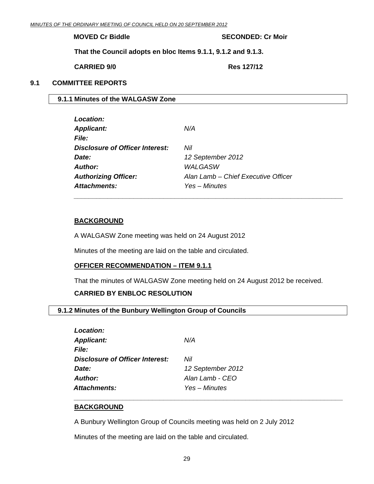#### <span id="page-28-0"></span>**MOVED Cr Biddle SECONDED: Cr Moir**

**That the Council adopts en bloc Items 9.1.1, 9.1.2 and 9.1.3.** 

 **CARRIED 9/0 Res 127/12** 

#### **9.1 COMMITTEE REPORTS**

#### **9.1.1 Minutes of the WALGASW Zone**

| Location:                       |                                     |
|---------------------------------|-------------------------------------|
| <b>Applicant:</b>               | N/A                                 |
| <i>File:</i>                    |                                     |
| Disclosure of Officer Interest: | Nil                                 |
| Date:                           | 12 September 2012                   |
| Author:                         | WALGASW                             |
| <b>Authorizing Officer:</b>     | Alan Lamb - Chief Executive Officer |
| Attachments:                    | Yes - Minutes                       |

#### **BACKGROUND**

A WALGASW Zone meeting was held on 24 August 2012

Minutes of the meeting are laid on the table and circulated.

#### **OFFICER RECOMMENDATION – ITEM 9.1.1**

That the minutes of WALGASW Zone meeting held on 24 August 2012 be received.

*\_\_\_\_\_\_\_\_\_\_\_\_\_\_\_\_\_\_\_\_\_\_\_\_\_\_\_\_\_\_\_\_\_\_\_\_\_\_\_\_\_\_\_\_\_\_\_\_\_\_\_\_\_\_\_\_\_\_\_\_\_\_\_\_\_\_\_\_\_\_\_\_* 

#### **CARRIED BY ENBLOC RESOLUTION**

#### **9.1.2 Minutes of the Bunbury Wellington Group of Councils**

| Location:                              |                   |
|----------------------------------------|-------------------|
| <b>Applicant:</b>                      | N/A               |
| <i>File:</i>                           |                   |
| <b>Disclosure of Officer Interest:</b> | Nil               |
| Date:                                  | 12 September 2012 |
| <b>Author:</b>                         | Alan Lamb - CEO   |
| <b>Attachments:</b>                    | Yes – Minutes     |
|                                        |                   |

#### **BACKGROUND**

A Bunbury Wellington Group of Councils meeting was held on 2 July 2012

*\_\_\_\_\_\_\_\_\_\_\_\_\_\_\_\_\_\_\_\_\_\_\_\_\_\_\_\_\_\_\_\_\_\_\_\_\_\_\_\_\_\_\_\_\_\_\_\_\_\_\_\_\_\_\_\_\_\_\_\_\_\_\_\_\_\_\_\_\_\_\_\_* 

Minutes of the meeting are laid on the table and circulated.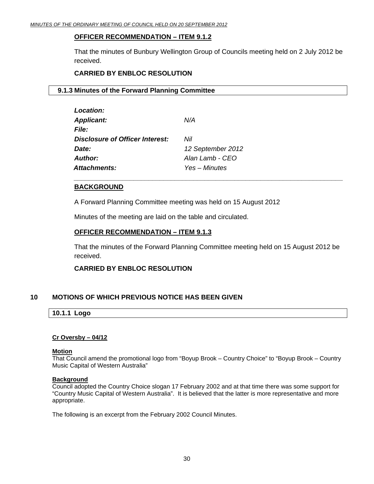#### <span id="page-29-0"></span>**OFFICER RECOMMENDATION – ITEM 9.1.2**

That the minutes of Bunbury Wellington Group of Councils meeting held on 2 July 2012 be received.

#### **CARRIED BY ENBLOC RESOLUTION**

#### **9.1.3 Minutes of the Forward Planning Committee**

| <b>Location:</b>                       |                   |
|----------------------------------------|-------------------|
| <b>Applicant:</b>                      | N/A               |
| <i>File:</i>                           |                   |
| <b>Disclosure of Officer Interest:</b> | Nil               |
| Date:                                  | 12 September 2012 |
| <b>Author:</b>                         | Alan Lamb - CEO   |
| <b>Attachments:</b>                    | Yes – Minutes     |
|                                        |                   |

#### **BACKGROUND**

A Forward Planning Committee meeting was held on 15 August 2012

Minutes of the meeting are laid on the table and circulated.

#### **OFFICER RECOMMENDATION – ITEM 9.1.3**

That the minutes of the Forward Planning Committee meeting held on 15 August 2012 be received.

*\_\_\_\_\_\_\_\_\_\_\_\_\_\_\_\_\_\_\_\_\_\_\_\_\_\_\_\_\_\_\_\_\_\_\_\_\_\_\_\_\_\_\_\_\_\_\_\_\_\_\_\_\_\_\_\_\_\_\_\_\_\_\_\_\_\_\_\_\_\_\_\_* 

#### **CARRIED BY ENBLOC RESOLUTION**

#### **10 MOTIONS OF WHICH PREVIOUS NOTICE HAS BEEN GIVEN**

#### **10.1.1 Logo**

#### **Cr Oversby – 04/12**

#### **Motion**

That Council amend the promotional logo from "Boyup Brook – Country Choice" to "Boyup Brook – Country Music Capital of Western Australia"

#### **Background**

Council adopted the Country Choice slogan 17 February 2002 and at that time there was some support for "Country Music Capital of Western Australia". It is believed that the latter is more representative and more appropriate.

The following is an excerpt from the February 2002 Council Minutes.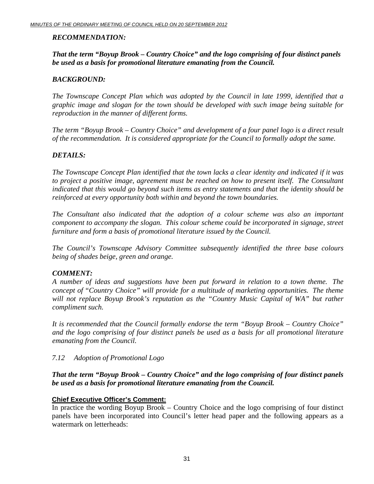### *RECOMMENDATION:*

### *That the term "Boyup Brook – Country Choice" and the logo comprising of four distinct panels be used as a basis for promotional literature emanating from the Council.*

### *BACKGROUND:*

*The Townscape Concept Plan which was adopted by the Council in late 1999, identified that a graphic image and slogan for the town should be developed with such image being suitable for reproduction in the manner of different forms.* 

*The term "Boyup Brook – Country Choice" and development of a four panel logo is a direct result of the recommendation. It is considered appropriate for the Council to formally adopt the same.* 

#### *DETAILS:*

*The Townscape Concept Plan identified that the town lacks a clear identity and indicated if it was to project a positive image, agreement must be reached on how to present itself. The Consultant indicated that this would go beyond such items as entry statements and that the identity should be reinforced at every opportunity both within and beyond the town boundaries.* 

*The Consultant also indicated that the adoption of a colour scheme was also an important component to accompany the slogan. This colour scheme could be incorporated in signage, street furniture and form a basis of promotional literature issued by the Council.* 

*The Council's Townscape Advisory Committee subsequently identified the three base colours being of shades beige, green and orange.* 

#### *COMMENT:*

*A number of ideas and suggestions have been put forward in relation to a town theme. The concept of "Country Choice" will provide for a multitude of marketing opportunities. The theme*  will not replace Boyup Brook's reputation as the "Country Music Capital of WA" but rather *compliment such.* 

*It is recommended that the Council formally endorse the term "Boyup Brook – Country Choice" and the logo comprising of four distinct panels be used as a basis for all promotional literature emanating from the Council.* 

#### *7.12 Adoption of Promotional Logo*

#### *That the term "Boyup Brook – Country Choice" and the logo comprising of four distinct panels be used as a basis for promotional literature emanating from the Council.*

#### **Chief Executive Officer's Comment:**

In practice the wording Boyup Brook – Country Choice and the logo comprising of four distinct panels have been incorporated into Council's letter head paper and the following appears as a watermark on letterheads: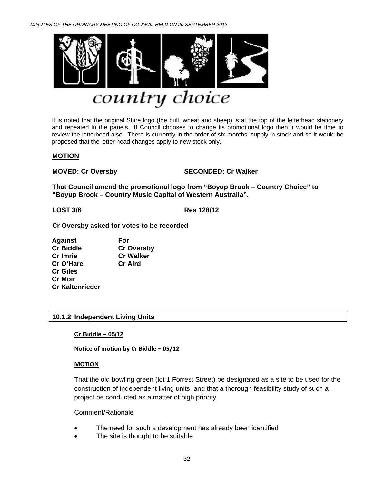<span id="page-31-0"></span>

# country choice

It is noted that the original Shire logo (the bull, wheat and sheep) is at the top of the letterhead stationery and repeated in the panels. If Council chooses to change its promotional logo then it would be time to review the letterhead also. There is currently in the order of six months' supply in stock and so it would be proposed that the letter head changes apply to new stock only.

#### **MOTION**

**MOVED: Cr Oversby SECONDED: Cr Walker** 

**That Council amend the promotional logo from "Boyup Brook – Country Choice" to "Boyup Brook – Country Music Capital of Western Australia".** 

**LOST 3/6 Res 128/12**

**Cr Oversby asked for votes to be recorded** 

**Against For Cr Biddle Cr Oversby Cr Imrie Cr Walker Cr O'Hare Cr Aird Cr Giles Cr Moir Cr Kaltenrieder** 

#### **10.1.2 Independent Living Units**

**Cr Biddle – 05/12**

**Notice of motion by Cr Biddle – 05/12**

#### **MOTION**

That the old bowling green (lot 1 Forrest Street) be designated as a site to be used for the construction of independent living units, and that a thorough feasibility study of such a project be conducted as a matter of high priority

#### Comment/Rationale

- The need for such a development has already been identified
- The site is thought to be suitable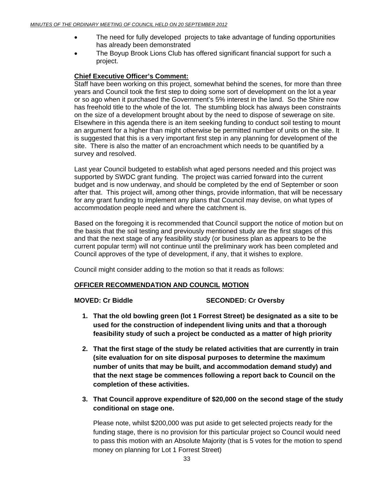- The need for fully developed projects to take advantage of funding opportunities has already been demonstrated
- The Boyup Brook Lions Club has offered significant financial support for such a project.

#### **Chief Executive Officer's Comment:**

Staff have been working on this project, somewhat behind the scenes, for more than three years and Council took the first step to doing some sort of development on the lot a year or so ago when it purchased the Government's 5% interest in the land. So the Shire now has freehold title to the whole of the lot. The stumbling block has always been constraints on the size of a development brought about by the need to dispose of sewerage on site. Elsewhere in this agenda there is an item seeking funding to conduct soil testing to mount an argument for a higher than might otherwise be permitted number of units on the site. It is suggested that this is a very important first step in any planning for development of the site. There is also the matter of an encroachment which needs to be quantified by a survey and resolved.

Last year Council budgeted to establish what aged persons needed and this project was supported by SWDC grant funding. The project was carried forward into the current budget and is now underway, and should be completed by the end of September or soon after that. This project will, among other things, provide information, that will be necessary for any grant funding to implement any plans that Council may devise, on what types of accommodation people need and where the catchment is.

Based on the foregoing it is recommended that Council support the notice of motion but on the basis that the soil testing and previously mentioned study are the first stages of this and that the next stage of any feasibility study (or business plan as appears to be the current popular term) will not continue until the preliminary work has been completed and Council approves of the type of development, if any, that it wishes to explore.

Council might consider adding to the motion so that it reads as follows:

#### **OFFICER RECOMMENDATION AND COUNCIL MOTION**

#### **MOVED: Cr Biddle SECONDED: Cr Oversby**

- **1. That the old bowling green (lot 1 Forrest Street) be designated as a site to be used for the construction of independent living units and that a thorough feasibility study of such a project be conducted as a matter of high priority**
- **2. That the first stage of the study be related activities that are currently in train (site evaluation for on site disposal purposes to determine the maximum number of units that may be built, and accommodation demand study) and that the next stage be commences following a report back to Council on the completion of these activities.**
- **3. That Council approve expenditure of \$20,000 on the second stage of the study conditional on stage one.**

Please note, whilst \$200,000 was put aside to get selected projects ready for the funding stage, there is no provision for this particular project so Council would need to pass this motion with an Absolute Majority (that is 5 votes for the motion to spend money on planning for Lot 1 Forrest Street)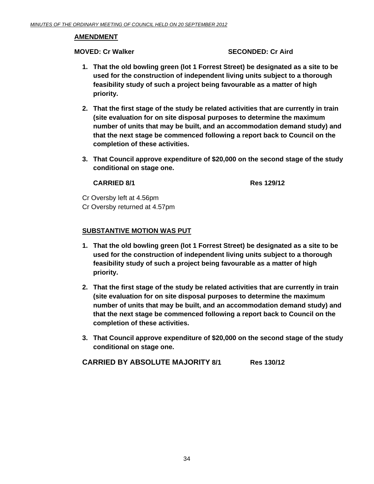#### **AMENDMENT**

#### **MOVED: Cr Walker SECONDED: Cr Aird 3DECONDED: Cr Aird 3DECONDED: Cr Aird 3DECONDED: Cr Aird 3DECONDED: Cr Aird 3DECONDED: C**

- **1. That the old bowling green (lot 1 Forrest Street) be designated as a site to be used for the construction of independent living units subject to a thorough feasibility study of such a project being favourable as a matter of high priority.**
- **2. That the first stage of the study be related activities that are currently in train (site evaluation for on site disposal purposes to determine the maximum number of units that may be built, and an accommodation demand study) and that the next stage be commenced following a report back to Council on the completion of these activities.**
- **3. That Council approve expenditure of \$20,000 on the second stage of the study conditional on stage one.**

#### **CARRIED 8/1 Res 129/12**

Cr Oversby left at 4.56pm Cr Oversby returned at 4.57pm

#### **SUBSTANTIVE MOTION WAS PUT**

- **1. That the old bowling green (lot 1 Forrest Street) be designated as a site to be used for the construction of independent living units subject to a thorough feasibility study of such a project being favourable as a matter of high priority.**
- **2. That the first stage of the study be related activities that are currently in train (site evaluation for on site disposal purposes to determine the maximum number of units that may be built, and an accommodation demand study) and that the next stage be commenced following a report back to Council on the completion of these activities.**
- **3. That Council approve expenditure of \$20,000 on the second stage of the study conditional on stage one.**

**CARRIED BY ABSOLUTE MAJORITY 8/1 Res 130/12**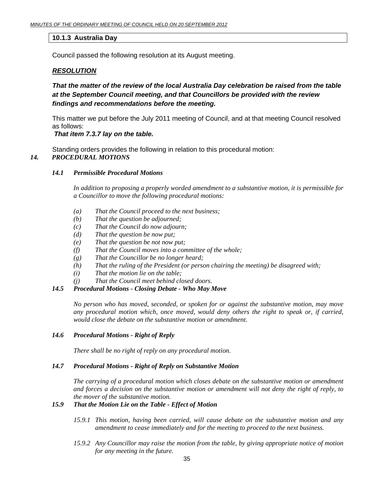#### <span id="page-34-0"></span>**10.1.3 Australia Day**

Council passed the following resolution at its August meeting.

#### *RESOLUTION*

#### *That the matter of the review of the local Australia Day celebration be raised from the table at the September Council meeting, and that Councillors be provided with the review findings and recommendations before the meeting.*

This matter we put before the July 2011 meeting of Council, and at that meeting Council resolved as follows:

#### *That item 7.3.7 lay on the table.*

Standing orders provides the following in relation to this procedural motion: *14. PROCEDURAL MOTIONS* 

#### *14.1 Permissible Procedural Motions*

*In addition to proposing a properly worded amendment to a substantive motion, it is permissible for a Councillor to move the following procedural motions:* 

- *(a) That the Council proceed to the next business;*
- *(b) That the question be adjourned;*
- *(c) That the Council do now adjourn;*
- *(d) That the question be now put;*
- *(e) That the question be not now put;*
- *(f) That the Council moves into a committee of the whole;*
- *(g) That the Councillor be no longer heard;*
- *(h) That the ruling of the President (or person chairing the meeting) be disagreed with;*
- *(i) That the motion lie on the table;*
- *(j) That the Council meet behind closed doors.*

#### *14.5 Procedural Motions - Closing Debate - Who May Move*

*No person who has moved, seconded, or spoken for or against the substantive motion, may move any procedural motion which, once moved, would deny others the right to speak or, if carried, would close the debate on the substantive motion or amendment.* 

#### *14.6 Procedural Motions - Right of Reply*

*There shall be no right of reply on any procedural motion.* 

#### *14.7 Procedural Motions - Right of Reply on Substantive Motion*

*The carrying of a procedural motion which closes debate on the substantive motion or amendment and forces a decision on the substantive motion or amendment will not deny the right of reply, to the mover of the substantive motion.* 

#### *15.9 That the Motion Lie on the Table - Effect of Motion*

- *15.9.1 This motion, having been carried, will cause debate on the substantive motion and any amendment to cease immediately and for the meeting to proceed to the next business.*
- *15.9.2 Any Councillor may raise the motion from the table, by giving appropriate notice of motion for any meeting in the future.*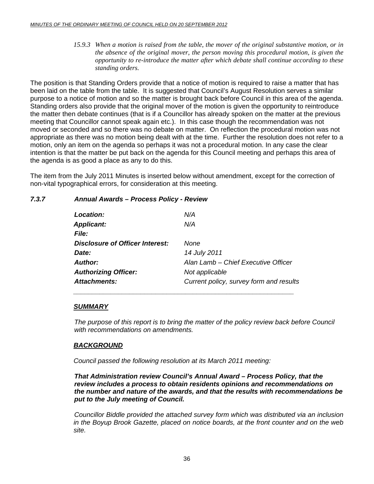*15.9.3 When a motion is raised from the table, the mover of the original substantive motion, or in the absence of the original mover, the person moving this procedural motion, is given the opportunity to re-introduce the matter after which debate shall continue according to these standing orders.* 

The position is that Standing Orders provide that a notice of motion is required to raise a matter that has been laid on the table from the table. It is suggested that Council's August Resolution serves a similar purpose to a notice of motion and so the matter is brought back before Council in this area of the agenda. Standing orders also provide that the original mover of the motion is given the opportunity to reintroduce the matter then debate continues (that is if a Councillor has already spoken on the matter at the previous meeting that Councillor cannot speak again etc.). In this case though the recommendation was not moved or seconded and so there was no debate on matter. On reflection the procedural motion was not appropriate as there was no motion being dealt with at the time. Further the resolution does not refer to a motion, only an item on the agenda so perhaps it was not a procedural motion. In any case the clear intention is that the matter be put back on the agenda for this Council meeting and perhaps this area of the agenda is as good a place as any to do this.

The item from the July 2011 Minutes is inserted below without amendment, except for the correction of non-vital typographical errors, for consideration at this meeting.

#### *7.3.7 Annual Awards – Process Policy - Review*

| Location:                       | N/A                                     |
|---------------------------------|-----------------------------------------|
| <b>Applicant:</b>               | N/A                                     |
| <b>File:</b>                    |                                         |
| Disclosure of Officer Interest: | None                                    |
| Date:                           | 14 July 2011                            |
| Author:                         | Alan Lamb - Chief Executive Officer     |
| <b>Authorizing Officer:</b>     | Not applicable                          |
| Attachments:                    | Current policy, survey form and results |

#### *SUMMARY*

The purpose of this report is to bring the matter of the policy review back before Council *with recommendations on amendments.* 

#### *BACKGROUND*

*Council passed the following resolution at its March 2011 meeting:* 

*That Administration review Council's Annual Award – Process Policy, that the review includes a process to obtain residents opinions and recommendations on the number and nature of the awards, and that the results with recommendations be put to the July meeting of Council.* 

 *Councillor Biddle provided the attached survey form which was distributed via an inclusion in the Boyup Brook Gazette, placed on notice boards, at the front counter and on the web site.*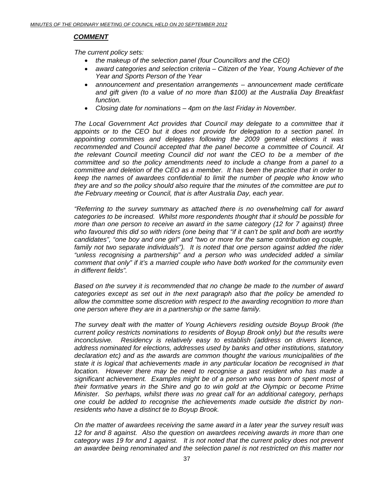#### *COMMENT*

 *The current policy sets:* 

- *the makeup of the selection panel (four Councillors and the CEO)*
- *award categories and selection criteria Citizen of the Year, Young Achiever of the Year and Sports Person of the Year*
- *announcement and presentation arrangements announcement made certificate and gift given (to a value of no more than \$100) at the Australia Day Breakfast function.*
- *Closing date for nominations 4pm on the last Friday in November.*

The Local Government Act provides that Council may delegate to a committee that it *appoints or to the CEO but it does not provide for delegation to a section panel. In appointing committees and delegates following the 2009 general elections it was recommended and Council accepted that the panel become a committee of Council. At the relevant Council meeting Council did not want the CEO to be a member of the committee and so the policy amendments need to include a change from a panel to a committee and deletion of the CEO as a member. It has been the practice that in order to keep the names of awardees confidential to limit the number of people who know who they are and so the policy should also require that the minutes of the committee are put to the February meeting or Council, that is after Australia Day, each year.* 

*"Referring to the survey summary as attached there is no overwhelming call for award categories to be increased. Whilst more respondents thought that it should be possible for more than one person to receive an award in the same category (12 for 7 against) three who favoured this did so with riders (one being that "if it can't be split and both are worthy candidates", "one boy and one girl" and "two or more for the same contribution eg couple,*  family not two separate individuals"). It is noted that one person against added the rider *"unless recognising a partnership" and a person who was undecided added a similar comment that only" if it's a married couple who have both worked for the community even in different fields".* 

*Based on the survey it is recommended that no change be made to the number of award categories except as set out in the next paragraph also that the policy be amended to allow the committee some discretion with respect to the awarding recognition to more than one person where they are in a partnership or the same family.* 

*The survey dealt with the matter of Young Achievers residing outside Boyup Brook (the current policy restricts nominations to residents of Boyup Brook only) but the results were inconclusive. Residency is relatively easy to establish (address on drivers licence, address nominated for elections, addresses used by banks and other institutions, statutory declaration etc) and as the awards are common thought the various municipalities of the state it is logical that achievements made in any particular location be recognised in that location.* However there may be need to recognise a past resident who has made a *significant achievement. Examples might be of a person who was born of spent most of their formative years in the Shire and go to win gold at the Olympic or become Prime Minister. So perhaps, whilst there was no great call for an additional category, perhaps one could be added to recognise the achievements made outside the district by nonresidents who have a distinct tie to Boyup Brook.* 

*On the matter of awardees receiving the same award in a later year the survey result was 12 for and 8 against. Also the question on awardees receiving awards in more than one category was 19 for and 1 against. It is not noted that the current policy does not prevent an awardee being renominated and the selection panel is not restricted on this matter nor*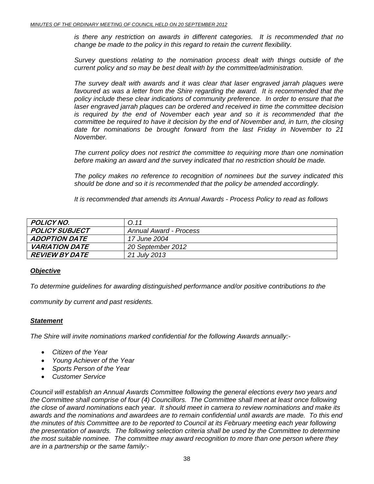*is there any restriction on awards in different categories. It is recommended that no change be made to the policy in this regard to retain the current flexibility.* 

*Survey questions relating to the nomination process dealt with things outside of the current policy and so may be best dealt with by the committee/administration.* 

*The survey dealt with awards and it was clear that laser engraved jarrah plaques were*  favoured as was a letter from the Shire regarding the award. It is recommended that the *policy include these clear indications of community preference. In order to ensure that the laser engraved jarrah plaques can be ordered and received in time the committee decision is required by the end of November each year and so it is recommended that the committee be required to have it decision by the end of November and, in turn, the closing date for nominations be brought forward from the last Friday in November to 21 November.* 

*The current policy does not restrict the committee to requiring more than one nomination before making an award and the survey indicated that no restriction should be made.* 

*The policy makes no reference to recognition of nominees but the survey indicated this should be done and so it is recommended that the policy be amended accordingly.* 

*It is recommended that amends its Annual Awards - Process Policy to read as follows* 

| POLICY NO.                   | 0.11                   |
|------------------------------|------------------------|
| POLICY SUBJECT               | Annual Award - Process |
| <b>ADOPTION DATE</b>         | <i>17 June 2004</i>    |
| <i><b>VARIATION DATE</b></i> | 20 September 2012      |
| <i>REVIEW BY DATE</i>        | 21 July 2013           |

#### *Objective*

*To determine guidelines for awarding distinguished performance and/or positive contributions to the* 

*community by current and past residents.* 

#### *Statement*

*The Shire will invite nominations marked confidential for the following Awards annually:-* 

- *Citizen of the Year*
- *Young Achiever of the Year*
- *Sports Person of the Year*
- *Customer Service*

*Council will establish an Annual Awards Committee following the general elections every two years and the Committee shall comprise of four (4) Councillors. The Committee shall meet at least once following the close of award nominations each year. It should meet in camera to review nominations and make its awards and the nominations and awardees are to remain confidential until awards are made. To this end the minutes of this Committee are to be reported to Council at its February meeting each year following the presentation of awards. The following selection criteria shall be used by the Committee to determine the most suitable nominee. The committee may award recognition to more than one person where they are in a partnership or the same family:-*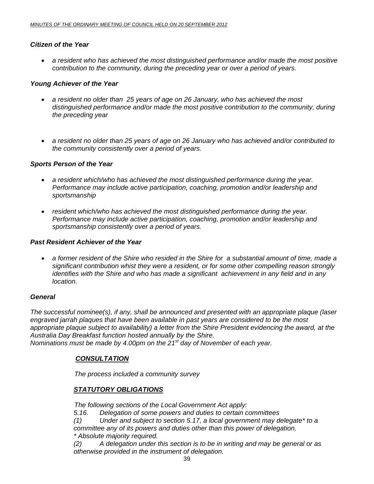#### *Citizen of the Year*

• *a resident who has achieved the most distinguished performance and/or made the most positive contribution to the community, during the preceding year or over a period of years.* 

#### *Young Achiever of the Year*

- *a resident no older than 25 years of age on 26 January, who has achieved the most distinguished performance and/or made the most positive contribution to the community, during the preceding year*
- *a resident no older than 25 years of age on 26 January who has achieved and/or contributed to the community consistently over a period of years.*

#### *Sports Person of the Year*

- *a resident which/who has achieved the most distinguished performance during the year. Performance may include active participation, coaching, promotion and/or leadership and sportsmanship*
- *resident which/who has achieved the most distinguished performance during the year. Performance may include active participation, coaching, promotion and/or leadership and sportsmanship consistently over a period of years.*

#### *Past Resident Achiever of the Year*

• *a former resident of the Shire who resided in the Shire for a substantial amount of time, made a significant contribution whist they were a resident, or for some other compelling reason strongly identifies with the Shire and who has made a significant achievement in any field and in any location.* 

#### *General*

*The successful nominee(s), if any, shall be announced and presented with an appropriate plaque (laser engraved jarrah plaques that have been available in past years are considered to be the most appropriate plaque subject to availability) a letter from the Shire President evidencing the award, at the Australia Day Breakfast function hosted annually by the Shire. Nominations must be made by 4.00pm on the 21st day of November of each year.* 

#### *CONSULTATION*

 *The process included a community survey* 

#### *STATUTORY OBLIGATIONS*

*The following sections of the Local Government Act apply:* 

*5.16. Delegation of some powers and duties to certain committees* 

*(1) Under and subject to section 5.17, a local government may delegate\* to a committee any of its powers and duties other than this power of delegation. \* Absolute majority required.* 

*(2) A delegation under this section is to be in writing and may be general or as otherwise provided in the instrument of delegation.*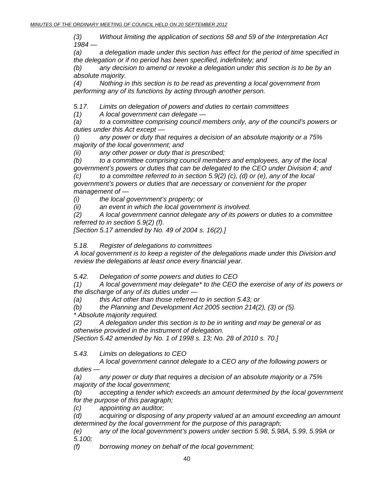*(3) Without limiting the application of sections 58 and 59 of the Interpretation Act 1984 —* 

*(a) a delegation made under this section has effect for the period of time specified in the delegation or if no period has been specified, indefinitely; and* 

*(b) any decision to amend or revoke a delegation under this section is to be by an absolute majority.* 

*(4) Nothing in this section is to be read as preventing a local government from performing any of its functions by acting through another person.* 

*5.17. Limits on delegation of powers and duties to certain committees* 

*(1) A local government can delegate —* 

*(a) to a committee comprising council members only, any of the council's powers or duties under this Act except —* 

*(i) any power or duty that requires a decision of an absolute majority or a 75% majority of the local government; and* 

*(ii) any other power or duty that is prescribed;* 

*(b) to a committee comprising council members and employees, any of the local government's powers or duties that can be delegated to the CEO under Division 4; and (c) to a committee referred to in section 5.9(2) (c), (d) or (e), any of the local government's powers or duties that are necessary or convenient for the proper* 

*management of —* 

*(i) the local government's property; or* 

*(ii) an event in which the local government is involved.* 

*(2) A local government cannot delegate any of its powers or duties to a committee referred to in section 5.9(2) (f).* 

*[Section 5.17 amended by No. 49 of 2004 s. 16(2).]* 

*5.18. Register of delegations to committees* 

 *A local government is to keep a register of the delegations made under this Division and review the delegations at least once every financial year.* 

*5.42. Delegation of some powers and duties to CEO* 

*(1) A local government may delegate\* to the CEO the exercise of any of its powers or the discharge of any of its duties under —* 

*(a) this Act other than those referred to in section 5.43; or* 

*(b) the Planning and Development Act 2005 section 214(2), (3) or (5). \* Absolute majority required.* 

*(2) A delegation under this section is to be in writing and may be general or as otherwise provided in the instrument of delegation.* 

*[Section 5.42 amended by No. 1 of 1998 s. 13; No. 28 of 2010 s. 70.]* 

*5.43. Limits on delegations to CEO* 

 *A local government cannot delegate to a CEO any of the following powers or duties —* 

*(a) any power or duty that requires a decision of an absolute majority or a 75% majority of the local government;* 

*(b) accepting a tender which exceeds an amount determined by the local government for the purpose of this paragraph;* 

*(c) appointing an auditor;* 

*(d) acquiring or disposing of any property valued at an amount exceeding an amount determined by the local government for the purpose of this paragraph;* 

*(e) any of the local government's powers under section 5.98, 5.98A, 5.99, 5.99A or 5.100;* 

*(f) borrowing money on behalf of the local government;*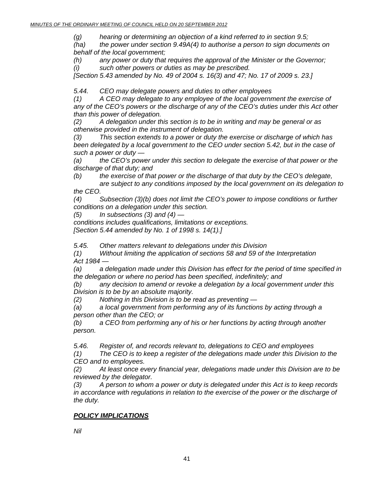*(g) hearing or determining an objection of a kind referred to in section 9.5;* 

*(ha) the power under section 9.49A(4) to authorise a person to sign documents on behalf of the local government;* 

*(h) any power or duty that requires the approval of the Minister or the Governor; (i) such other powers or duties as may be prescribed.* 

*[Section 5.43 amended by No. 49 of 2004 s. 16(3) and 47; No. 17 of 2009 s. 23.]* 

*5.44. CEO may delegate powers and duties to other employees* 

*(1) A CEO may delegate to any employee of the local government the exercise of any of the CEO's powers or the discharge of any of the CEO's duties under this Act other than this power of delegation.* 

*(2) A delegation under this section is to be in writing and may be general or as otherwise provided in the instrument of delegation.* 

*(3) This section extends to a power or duty the exercise or discharge of which has been delegated by a local government to the CEO under section 5.42, but in the case of such a power or duty —* 

*(a) the CEO's power under this section to delegate the exercise of that power or the discharge of that duty; and* 

*(b) the exercise of that power or the discharge of that duty by the CEO's delegate,* 

 *are subject to any conditions imposed by the local government on its delegation to the CEO.* 

*(4) Subsection (3)(b) does not limit the CEO's power to impose conditions or further conditions on a delegation under this section.* 

*(5) In subsections (3) and (4) —* 

*conditions includes qualifications, limitations or exceptions.* 

*[Section 5.44 amended by No. 1 of 1998 s. 14(1).]* 

*5.45. Other matters relevant to delegations under this Division* 

*(1) Without limiting the application of sections 58 and 59 of the Interpretation Act 1984 —* 

*(a) a delegation made under this Division has effect for the period of time specified in the delegation or where no period has been specified, indefinitely; and* 

*(b) any decision to amend or revoke a delegation by a local government under this Division is to be by an absolute majority.* 

*(2) Nothing in this Division is to be read as preventing —* 

*(a) a local government from performing any of its functions by acting through a person other than the CEO; or* 

*(b) a CEO from performing any of his or her functions by acting through another person.* 

*5.46. Register of, and records relevant to, delegations to CEO and employees* 

*(1) The CEO is to keep a register of the delegations made under this Division to the CEO and to employees.* 

*(2) At least once every financial year, delegations made under this Division are to be reviewed by the delegator.* 

*(3) A person to whom a power or duty is delegated under this Act is to keep records in accordance with regulations in relation to the exercise of the power or the discharge of the duty.* 

#### *POLICY IMPLICATIONS*

*Nil*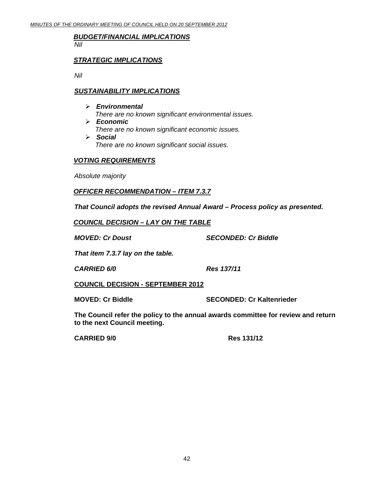### *BUDGET/FINANCIAL IMPLICATIONS*

*Nil* 

#### *STRATEGIC IMPLICATIONS*

 *Nil* 

#### *SUSTAINABILITY IMPLICATIONS*

- ¾ *Environmental There are no known significant environmental issues.*
- ¾ *Economic There are no known significant economic issues.*  ¾ *Social There are no known significant social issues.*

#### *VOTING REQUIREMENTS*

*Absolute majority* 

#### *OFFICER RECOMMENDATION – ITEM 7.3.7*

*That Council adopts the revised Annual Award – Process policy as presented.* 

*COUNCIL DECISION – LAY ON THE TABLE*

*MOVED: Cr Doust SECONDED: Cr Biddle* 

 *That item 7.3.7 lay on the table.* 

 *CARRIED 6/0 Res 137/11* 

 **COUNCIL DECISION - SEPTEMBER 2012**

**MOVED: Cr Biddle SECONDED: Cr Kaltenrieder** 

**The Council refer the policy to the annual awards committee for review and return to the next Council meeting.** 

 **CARRIED 9/0 Res 131/12**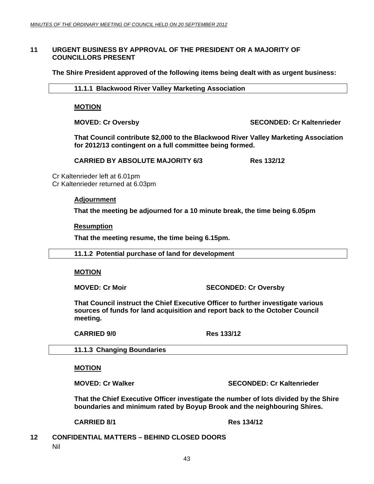#### <span id="page-42-0"></span>**11 URGENT BUSINESS BY APPROVAL OF THE PRESIDENT OR A MAJORITY OF COUNCILLORS PRESENT**

 **The Shire President approved of the following items being dealt with as urgent business:** 

 **11.1.1 Blackwood River Valley Marketing Association** 

**MOTION**

**MOVED: Cr Oversby SECONDED: Cr Kaltenrieder** 

**That Council contribute \$2,000 to the Blackwood River Valley Marketing Association for 2012/13 contingent on a full committee being formed.** 

**CARRIED BY ABSOLUTE MAJORITY 6/3** Res 132/12

Cr Kaltenrieder left at 6.01pm Cr Kaltenrieder returned at 6.03pm

#### **Adjournment**

**That the meeting be adjourned for a 10 minute break, the time being 6.05pm** 

#### **Resumption**

**That the meeting resume, the time being 6.15pm.** 

 **11.1.2 Potential purchase of land for development** 

#### **MOTION**

**MOVED: Cr Moir** SECONDED: Cr Oversby

**That Council instruct the Chief Executive Officer to further investigate various sources of funds for land acquisition and report back to the October Council meeting.** 

 **CARRIED 9/0 Res 133/12** 

 **11.1.3 Changing Boundaries** 

#### **MOTION**

**MOVED: Cr Walker SECONDED: Cr Kaltenrieder CONDED: Cr Kaltenrieder** 

**That the Chief Executive Officer investigate the number of lots divided by the Shire boundaries and minimum rated by Boyup Brook and the neighbouring Shires.** 

**CARRIED 8/1 Res 134/12** 

**12 CONFIDENTIAL MATTERS – BEHIND CLOSED DOORS** 

Nil